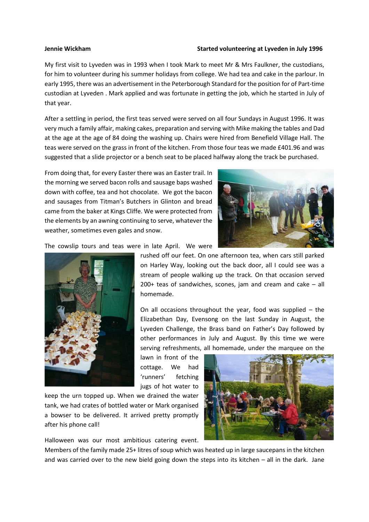## **Jennie Wickham Started volunteering at Lyveden in July 1996**

My first visit to Lyveden was in 1993 when I took Mark to meet Mr & Mrs Faulkner, the custodians, for him to volunteer during his summer holidays from college. We had tea and cake in the parlour. In early 1995, there was an advertisement in the Peterborough Standard for the position for of Part-time custodian at Lyveden . Mark applied and was fortunate in getting the job, which he started in July of that year.

After a settling in period, the first teas served were served on all four Sundays in August 1996. It was very much a family affair, making cakes, preparation and serving with Mike making the tables and Dad at the age at the age of 84 doing the washing up. Chairs were hired from Benefield Village Hall. The teas were served on the grass in front of the kitchen. From those four teas we made £401.96 and was suggested that a slide projector or a bench seat to be placed halfway along the track be purchased.

From doing that, for every Easter there was an Easter trail. In the morning we served bacon rolls and sausage baps washed down with coffee, tea and hot chocolate. We got the bacon and sausages from Titman's Butchers in Glinton and bread came from the baker at Kings Cliffe. We were protected from the elements by an awning continuing to serve, whatever the weather, sometimes even gales and snow.



The cowslip tours and teas were in late April. We were



rushed off our feet. On one afternoon tea, when cars still parked on Harley Way, looking out the back door, all I could see was a stream of people walking up the track. On that occasion served 200+ teas of sandwiches, scones, jam and cream and cake – all homemade.

On all occasions throughout the year, food was supplied – the Elizabethan Day, Evensong on the last Sunday in August, the Lyveden Challenge, the Brass band on Father's Day followed by other performances in July and August. By this time we were serving refreshments, all homemade, under the marquee on the

lawn in front of the cottage. We had 'runners' fetching jugs of hot water to

keep the urn topped up. When we drained the water tank, we had crates of bottled water or Mark organised a bowser to be delivered. It arrived pretty promptly after his phone call!

Halloween was our most ambitious catering event.

Members of the family made 25+ litres of soup which was heated up in large saucepans in the kitchen and was carried over to the new bield going down the steps into its kitchen – all in the dark. Jane